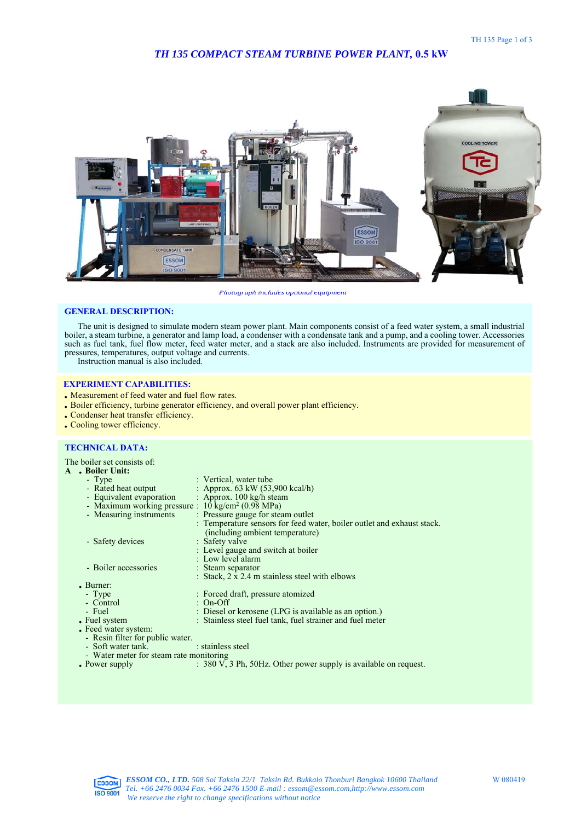# *TH 135 COMPACT STEAM TURBINE POWER PLANT,* **0.5 kW**



*Photograph includes optional equipment* 

### **GENERAL DESCRIPTION:**

The unit is designed to simulate modern steam power plant. Main components consist of a feed water system, a small industrial boiler, a steam turbine, a generator and lamp load, a condenser with a condensate tank and a pump, and a cooling tower. Accessories such as fuel tank, fuel flow meter, feed water meter, and a stack are also included. Instruments are provided for measurement of pressures, temperatures, output voltage and currents.

Instruction manual is also included.

### **EXPERIMENT CAPABILITIES:**

- . Measurement of feed water and fuel flow rates.
- . Boiler efficiency, turbine generator efficiency, and overall power plant efficiency.
- . Condenser heat transfer efficiency.
- . Cooling tower efficiency.

## **TECHNICAL DATA:**

The boiler set consists of: **<sup>A</sup>** . **Boiler Unit:**

| A |  | . Boiler Unit: |  |
|---|--|----------------|--|
|   |  |                |  |

|                        | - Type                                                       | : Vertical, water tube                                                 |  |  |  |
|------------------------|--------------------------------------------------------------|------------------------------------------------------------------------|--|--|--|
|                        | - Rated heat output                                          | : Approx. $63 \text{ kW } (53,900 \text{ kcal/h})$                     |  |  |  |
|                        | - Equivalent evaporation                                     | : Approx. $100 \text{ kg/h}$ steam                                     |  |  |  |
|                        | - Maximum working pressure : $10 \text{ kg/cm}^2$ (0.98 MPa) |                                                                        |  |  |  |
|                        | - Measuring instruments                                      | : Pressure gauge for steam outlet                                      |  |  |  |
|                        |                                                              | : Temperature sensors for feed water, boiler outlet and exhaust stack. |  |  |  |
|                        |                                                              | (including ambient temperature)                                        |  |  |  |
|                        | - Safety devices                                             | : Safety valve                                                         |  |  |  |
|                        |                                                              | : Level gauge and switch at boiler                                     |  |  |  |
|                        |                                                              | : Low level alarm                                                      |  |  |  |
|                        | - Boiler accessories                                         | : Steam separator                                                      |  |  |  |
|                        |                                                              | : Stack, 2 x 2.4 m stainless steel with elbows                         |  |  |  |
| $\blacksquare$ Burner: |                                                              |                                                                        |  |  |  |
|                        | - Type                                                       | : Forced draft, pressure atomized                                      |  |  |  |
|                        | - Control                                                    | : On-Off                                                               |  |  |  |
|                        | - Fuel                                                       | : Diesel or kerosene (LPG is available as an option.)                  |  |  |  |
|                        | • Fuel system                                                | : Stainless steel fuel tank, fuel strainer and fuel meter              |  |  |  |
|                        | • Feed water system:                                         |                                                                        |  |  |  |
|                        | - Resin filter for public water.                             |                                                                        |  |  |  |
|                        | - Soft water tank.                                           | : stainless steel                                                      |  |  |  |
|                        | - Water meter for steam rate monitoring                      |                                                                        |  |  |  |
|                        | • Power supply                                               | : 380 V, 3 Ph, 50Hz. Other power supply is available on request.       |  |  |  |
|                        |                                                              |                                                                        |  |  |  |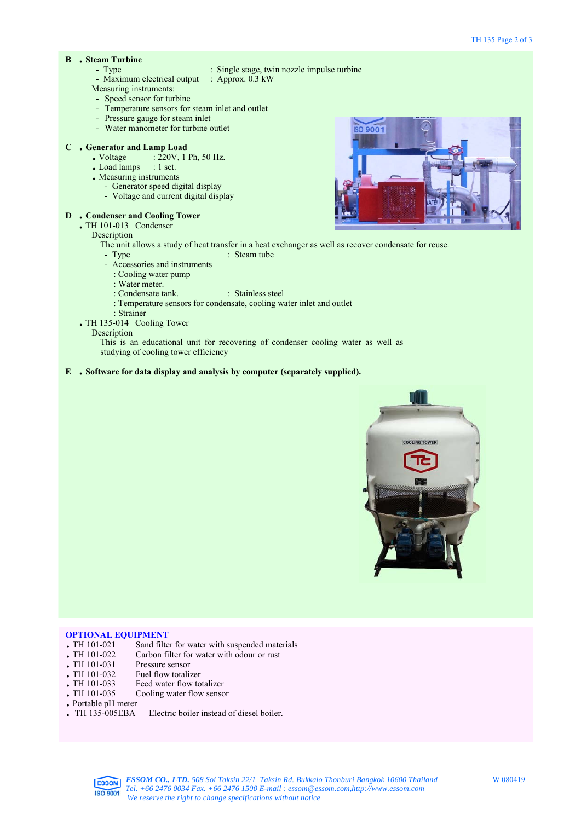# **<sup>B</sup>** . **Steam Turbine**

- 
- $\therefore$  Single stage, twin nozzle impulse turbine<br> $\therefore$  Approx. 0.3 kW
- Maximum electrical output
- Measuring instruments:
- Speed sensor for turbine
- Temperature sensors for steam inlet and outlet
- Pressure gauge for steam inlet
- Water manometer for turbine outlet

# **<sup>C</sup>** . **Generator and Lamp Load**

- Generator and Lamp Load<br>• Voltage : 220V, 1 Ph, 50 Hz. • Voltage :  $220V$ , 1 Ph, 50 Hz.<br>• Load lamps : 1 set.
	-
	- . Measuring instruments
		- Generator speed digital display
		- Voltage and current digital display

#### **<sup>D</sup>** . **Condenser and Cooling Tower**

. TH 101-013 Condenser

Description

- The unit allows a study of heat transfer in a heat exchanger as well as recover condensate for reuse.
- Type : Steam tube
- Accessories and instruments
- : Cooling water pump
- : Water meter.
- : Condensate tank. : Stainless steel
- : Temperature sensors for condensate, cooling water inlet and outlet
- : Strainer
- . TH 135-014 Cooling Tower
	- Description

This is an educational unit for recovering of condenser cooling water as well as studying of cooling tower efficiency

**<sup>E</sup>** . **Software for data display and analysis by computer (separately supplied).**



# **OPTIONAL EQUIPMENT**

- TH 101-021 Sand filter for water with suspended materials<br>TH 101-022 Carbon filter for water with odour or rust
- Carbon filter for water with odour or rust<br>Pressure sensor
- TH 101-031 Pressure sensor<br>• TH 101-032 Fuel flow totalizer
- 
- $\frac{1}{101}$  TH 101-032
- TH 101-033 Feed water flow totalizer<br>TH 101-035 Cooling water flow senso Cooling water flow sensor
- . Portable pH meter
- Electric boiler instead of diesel boiler.